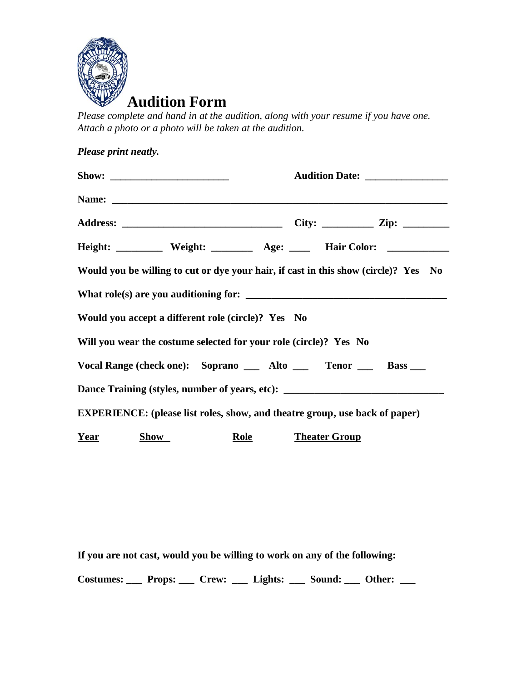

*Please complete and hand in at the audition, along with your resume if you have one. Attach a photo or a photo will be taken at the audition.*

| Please print neatly. |                                                                   |             |                                 |                                                                                     |  |
|----------------------|-------------------------------------------------------------------|-------------|---------------------------------|-------------------------------------------------------------------------------------|--|
|                      |                                                                   |             | Audition Date: ________________ |                                                                                     |  |
|                      |                                                                   |             |                                 |                                                                                     |  |
|                      |                                                                   |             |                                 |                                                                                     |  |
|                      |                                                                   |             |                                 | Height: ___________ Weight: _________ Age: _____ Hair Color: ___________________    |  |
|                      |                                                                   |             |                                 | Would you be willing to cut or dye your hair, if cast in this show (circle)? Yes No |  |
|                      |                                                                   |             |                                 |                                                                                     |  |
|                      | Would you accept a different role (circle)? Yes No                |             |                                 |                                                                                     |  |
|                      | Will you wear the costume selected for your role (circle)? Yes No |             |                                 |                                                                                     |  |
|                      |                                                                   |             |                                 | Vocal Range (check one): Soprano __ Alto __ Tenor __ Bass __                        |  |
|                      |                                                                   |             |                                 | Dance Training (styles, number of years, etc): _________________________________    |  |
|                      |                                                                   |             |                                 | <b>EXPERIENCE:</b> (please list roles, show, and theatre group, use back of paper)  |  |
| <u>Year</u>          | <b>Show</b>                                                       | <b>Role</b> | <b>Theater Group</b>            |                                                                                     |  |

**If you are not cast, would you be willing to work on any of the following:**

**Costumes: \_\_\_ Props: \_\_\_ Crew: \_\_\_ Lights: \_\_\_ Sound: \_\_\_ Other: \_\_\_**